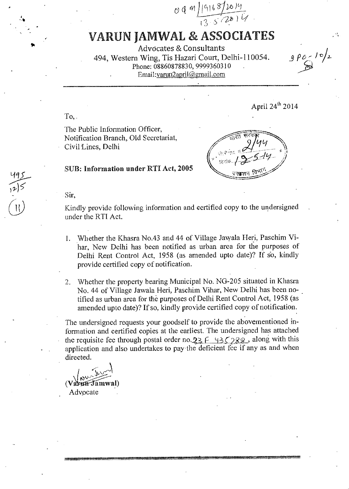$0$  9 m  $11$  12 16 13/2014

## VARUN JAMWAL & ASSOCIATES

Advocates *&* Consultants 494, Western Wing, Tis Hazari Court, Delhi-110054. Phone: 08860878830, 9999360310 Email:varun2april@gmail.com

 $9$   $\rho_0$  /  $\sqrt{2}$ 

 $To,$ 

The Public Information Officer, Notification Branch, Old Secretariat, Civil-Lines, Delhi

 $\sqrt{\frac{1}{100}}$   $\frac{\sqrt{100}}{100}$  $2$ /44 संरक  $2\mu$  $\mathcal{N}_{\star}$ i 14 / .,/ '*('' C*<br>प्रकशन विभाग -r.z.z-..-\_ - ------

April 24<sup>th</sup> 2014

## SUB: Information under RTI Act, 2005

Sir,

Kindly provide following information and certified copy to the undersigned under the RTI Act.

- 1. Whether the Khasra No.43 and 44 of Village Jawala Heri, Paschim Vihar, New Delhi has been notified as urban area for the purposes of Delhi Rent Control Act, 1958 (as amended upto date)? If so, kindly provide certified copy of notification.
- 2. Whether the property bearing Municipal No. NG-205 situated in Khasra No. 44 of Village Jawala Heri, Paschim Vihar, New Delhi has been notified as urban area for the purposes of Delhi Rent Control Act, 1958 (as amended upto date)? If so, kindly provide certified copy of notification.

The undersigned requests your goodself to provide the abovementioned information and certified copies at the earliest. The undersigned has attached the requisite fee through postal order no.  $23 f (1352)$  along with this application and also undertakes to pay the deficient fee if any as and when directed.

 $\sim$  $(V$ arun $\mathcal{T}$ amwal) Advocate